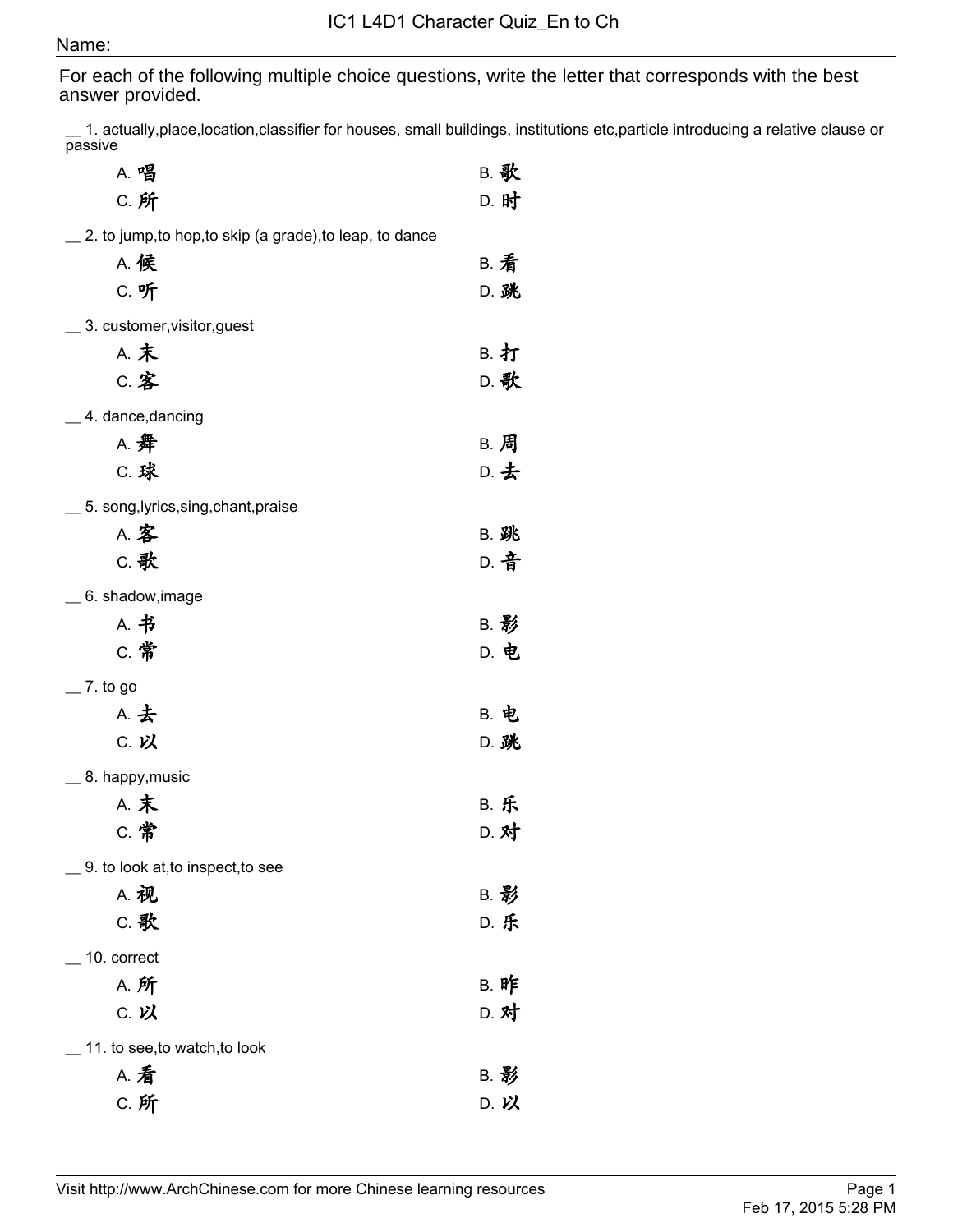## Name:

For each of the following multiple choice questions, write the letter that corresponds with the best answer provided.

\_\_ 1. actually,place,location,classifier for houses, small buildings, institutions etc,particle introducing a relative clause or passive

| A. 唱                                                     | <b>B. 歌</b> |
|----------------------------------------------------------|-------------|
| C. 所                                                     | D. 时        |
| 2. to jump, to hop, to skip (a grade), to leap, to dance |             |
| <b>A. 候</b>                                              | <b>B. 看</b> |
| C. 听                                                     | D. 跳        |
| 3. customer, visitor, guest                              |             |
| <b>A. 末</b>                                              | B. 打        |
| <b>C. 客</b>                                              | D. 歌        |
| 4. dance, dancing                                        |             |
| A. 舞                                                     | B. 周        |
| <b>C. 球</b>                                              | D. 去        |
| 5. song, lyrics, sing, chant, praise                     |             |
| A. 客                                                     | <b>B. 跳</b> |
| C. 歌                                                     | D. 音        |
| 6. shadow, image                                         |             |
| A. 书                                                     | <b>B. 影</b> |
| C. 常                                                     | D. 电        |
| 7. to go                                                 |             |
| A. 去                                                     | <b>B. 电</b> |
| C. 以                                                     | D. 跳        |
| 8. happy, music                                          |             |
| <b>A. 末</b>                                              | <b>B. 乐</b> |
| C. 常                                                     | D. 对        |
| 9. to look at, to inspect, to see                        |             |
| <b>A. 视</b>                                              | B. 影        |
| C. 歌                                                     | <b>D. 乐</b> |
| 10. correct                                              |             |
| <b>A. 所</b>                                              | B. 昨        |
| C. 以                                                     | D. 对        |
| 11. to see, to watch, to look                            |             |
| <b>A. 看</b>                                              | B. 影        |
| C. 所                                                     | D. 以        |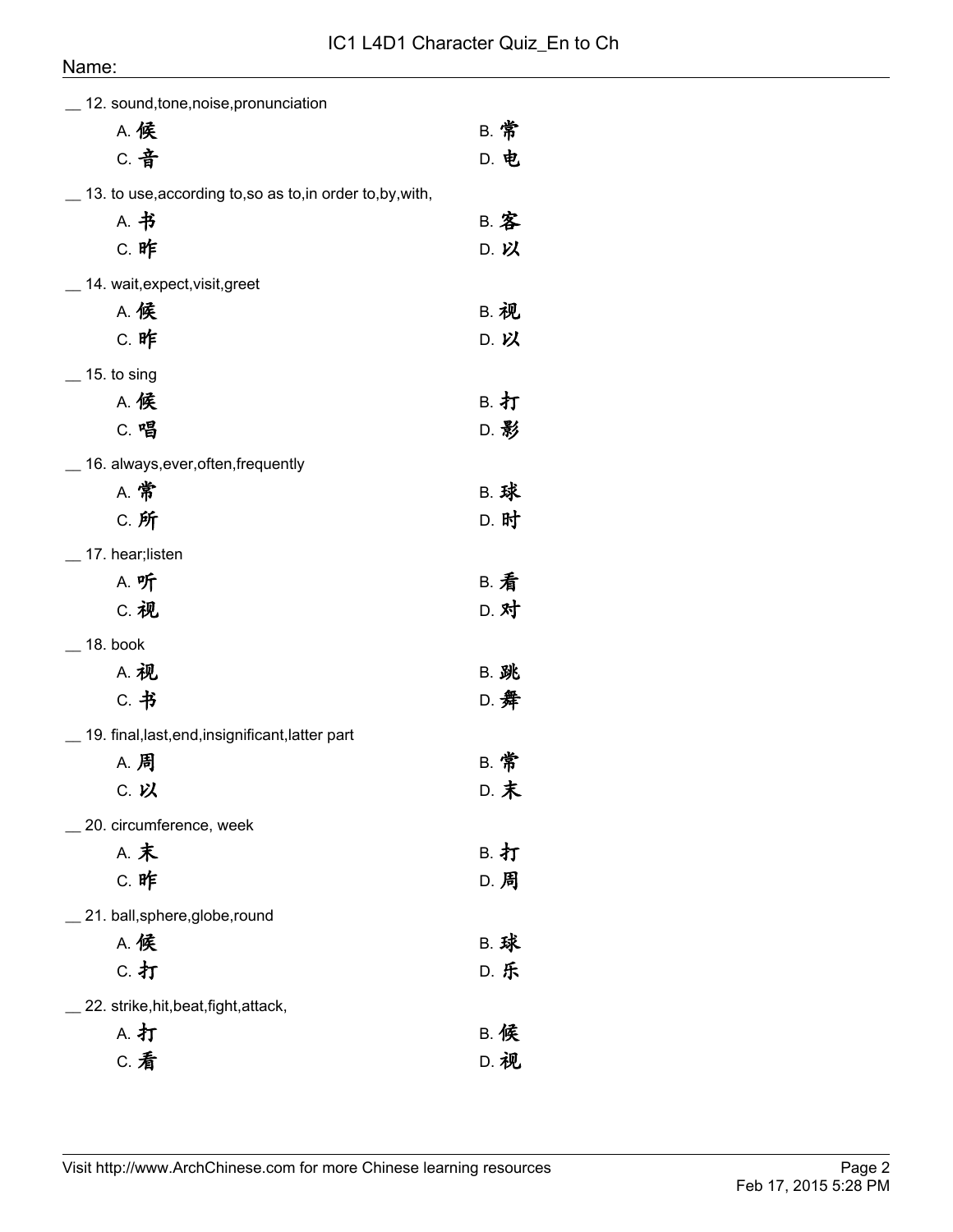## Name:

| 12. sound, tone, noise, pronunciation                      |             |
|------------------------------------------------------------|-------------|
| <b>A. 候</b>                                                | <b>B. 常</b> |
| c. 音                                                       | D. 电        |
| 13. to use, according to, so as to, in order to, by, with, |             |
| A. 书                                                       | <b>B. 客</b> |
| C. 昨                                                       | D. 以        |
| 14. wait, expect, visit, greet                             |             |
| <b>A. 候</b>                                                | <b>B. 视</b> |
| C. 昨                                                       | D. 以        |
| $\_$ 15. to sing                                           |             |
| <b>A. 候</b>                                                | B. 打        |
| C. 唱                                                       | D. 影        |
| 16. always, ever, often, frequently                        |             |
| <b>A. 常</b>                                                | <b>B. 球</b> |
| C. 所                                                       | D. 时        |
| 17. hear;listen                                            |             |
| A. 听                                                       | <b>B. 看</b> |
| C. 视                                                       | D. 对        |
| 18. book                                                   |             |
| <b>A. 视</b>                                                | <b>B. 跳</b> |
| C. 书                                                       | D. 舞        |
| 19. final, last, end, insignificant, latter part           |             |
| A. 周                                                       | <b>B. 常</b> |
| C. 以                                                       | D. 末        |
| 20. circumference, week                                    |             |
| <b>A. 末</b>                                                | <b>B. 打</b> |
| C. 昨                                                       | D. 周        |
| 21. ball, sphere, globe, round                             |             |
| <b>A. 候</b>                                                | <b>B. 球</b> |
| c. 打                                                       | D. 乐        |
| 22. strike, hit, beat, fight, attack,                      |             |
| A. 打                                                       | <b>B. 候</b> |
| <b>C. 看</b>                                                | D. 视        |